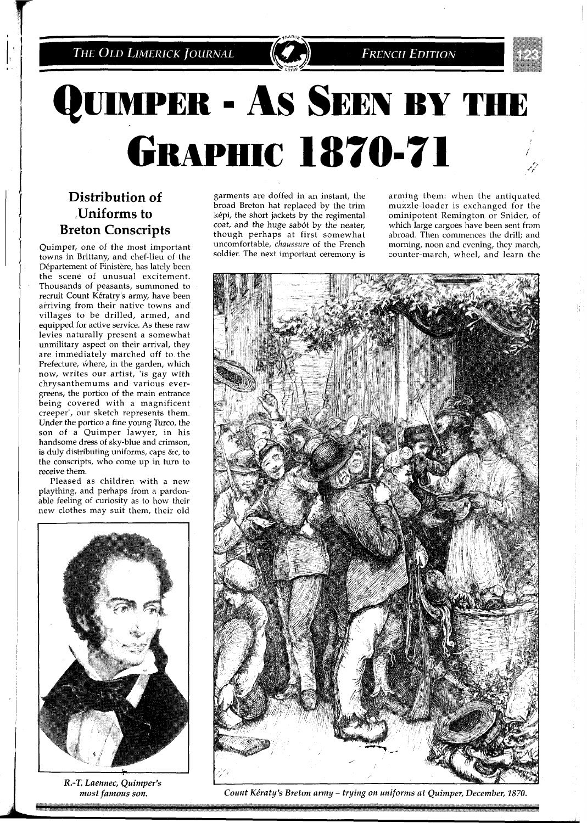

# QUIMPER - AS SEEN BY THE **GRAPHIC 1870-71**

## **Distribution of**  Uniforms to **Breton Conscripts**

Quimper, one of the most important towns in Brittany, and chef-lieu of the Département of Finistère, has lately been the scene of unusual excitement. Thousands of peasants, summoned to recruit Count Kératry's army, have been arriving from their native towns and villages to be drilled, armed, and equipped for active service. **As** these raw levies naturally present a somewhat unmilitary aspect on their arrival, they are immediately marched off to the Prefecture, where, in the garden, which now, writes our artist, 'is gay with chrysanthemums and various evergreens, the portico of the main entrance being covered with a magnificent creeper', our sketch represents them. Under the portico a fine young Turco, the son of a Quimper lawyer, in his handsome dress of sky-blue and crimson, is duly distributing uniforms, caps &c, to the conscripts, who come up in turn to receive them.

Pleased as children with a new plaything, and perhaps from a pardonable feeling of curiosity as to how their new clothes may suit them, their old



*R.-T. Laennec, Quimper's most famous son.* 

garments are doffed in an instant, the arming them: when the antiquated broad Breton hat replaced by the trim muzzle-loader is exchanged for the broad Breton hat replaced by the trim muzzle-loader is exchanged for the képi, the short jackets by the regimental ominipotent Remington or Snider, of képi, the short jackets by the regimental ominipotent Remington or Snider, of coat, and the huge sabót by the neater, which large cargoes have been sent from though perhaps at first somewhat abroad. Then commences the drill; and uncomfortable, *chaussure* of the French morning, noon and evening, they march, uncomfortable, *chaussure* of the French morning, noon and evening, they march, soldier. The next important ceremony is counter-march, wheel, and learn the

which large cargoes have been sent from counter-march, wheel, and learn the

**FRENCH EDITION** 



*Count Ke'raty's Breton army* - *tying on uniforms at Quimper, December,* **1870.**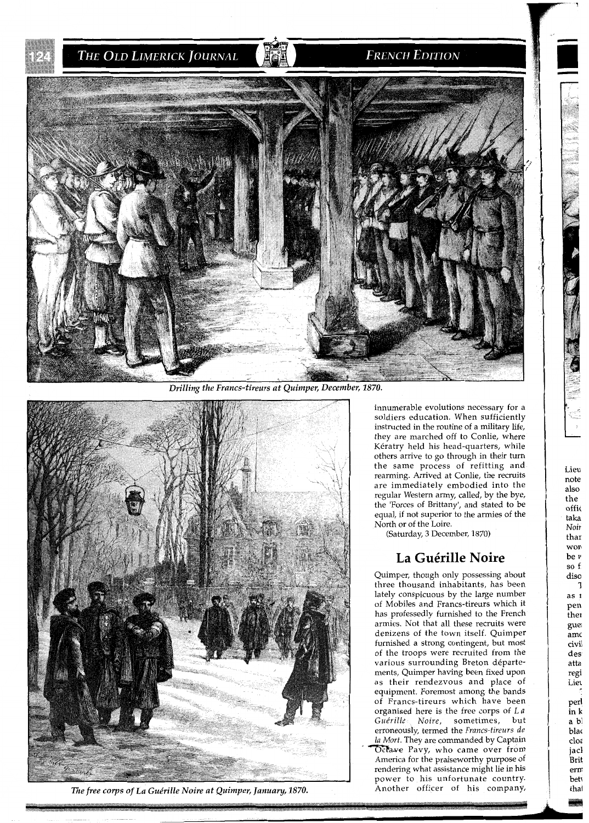THE OLD LIMERICK JOURNAL

#### **FRENCH EDITION**



*Drilling the Francs-tireurs at Quimper, December, 1870.* 



*The free corps of La Guérille Noire at Quimper, January, 1870.* 

innumerable evolutions necessary for a soldiers education. When sufficiently instructed in the routine of a military life, they are marched off to Conlie, where Keratry held his head-quarters, while others arrive to go through in their turn the same process of refitting and rearming. Arrived at Conlie, the recruits are immediately embodied into the regular Western army, called, by the bye, the 'Forces of Brittany', and stated to be equal, if not superior to the armies of the North or of the Loire.

(Saturday, 3 December, 1870)

#### La Guérille Noire

Quimper, though only possessing about three thousand inhabitants, has beeh lately conspicuous by the large number of Mobiles and Francs-tireurs which it has professedly furnished to the French armies. Not that all these recruits were denizens of the town itself. Quimper furnished a strong contingent, but most of the troops were recruited from the various surrounding Breton departements, Quimper having been fixed upon as their rendezvous and place of equipment. Foremost among the bands of Francs-tireurs which have been organised here is the free corps of L *a Gue'rille Noire,* sometimes, but erroneously, termed the *Francs-tlreurs* de */a Mort.* They are commanded by Captain Octave Pavy, who came over from America for the praiseworthy purpose of rendering what assistance might lie in his power to his unfortunate country. Another officer of his company, **m**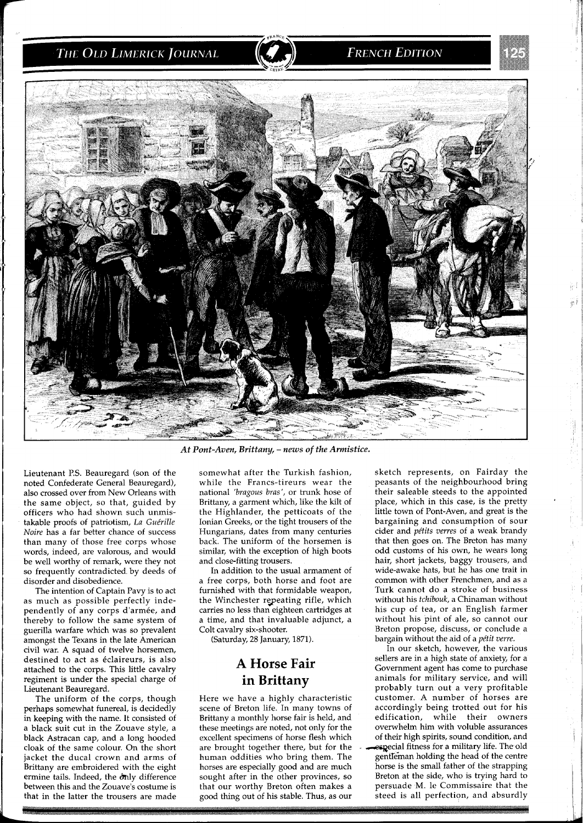### THE OLD LIMERICK JOURNAL

#### **FRENCH EDITION**



At Pont-Aven, Brittany, - news of the Armistice.

Lieutenant P.S. Beauregard (son of the noted Confederate General Beauregard), also crossed over from New Orleans with the same object, so that, guided by officers who had shown such unmistakable proofs of patriotism, *La Gue'rille Noire* has a far better chance of success than many of those free corps whose words, indeed, are valorous, and would be well worthy of remark, were they not so frequently contradicted by deeds of disorder and disobedience.

The intention of Captain Pavy is to act as much as possible perfectly independently of any corps d'armée, and thereby to follow the same system of guerilla warfare which was so prevalent amongst the Texans in the late American civil war. A squad of twelve horsemen, destined to act as eclaireurs, is also attached to the corps. This little cavalry regiment is under the special charge of Lieutenant Beauregard.

The uniform of the corps, though perhaps somewhat funereal, is decidedly in keeping with the name. It consisted of a black suit cut in the Zouave style, a black Astracan cap, and a long hooded cloak of the same colour. On the short jacket the ducal crown and arms of Brittany are embroidered with the eight ermine tails. Indeed, the only difference between this and the Zouave's costume is that in the latter the trousers are made somewhat after the Turkish fashion, while the Francs-tireurs wear the national *'bragous bras',* or trunk hose of Brittany, a garment which, like the kilt of the Highlander, the petticoats of the Ionian Greeks, or the tight trousers of the Hungarians, dates from many centuries back. The uniform of the horsemen is similar, with the exception of high boots and close-fitting trousers.

In addition to the usual armament of a free corps, both horse and foot are furnished with that formidable weapon, the Winchester repeating rifle, which carries no less than eighteen cartridges at a time, and that invaluable adjunct, a Colt cavalry six-shooter.

(Saturday, 28 January, 1871).

### **A Horse Fair in Brittany**

Here we have a highly characteristic scene of Breton life. In many towns of Brittany a monthly horse fair is held, and these meetings are noted, not only for the excellent specimens of horse flesh which are brought together there, but for the human oddities who bring them. The horses are especially good and are much sought after in the other provinces, so that our worthy Breton often makes a good thing out of his stable. Thus, as our

sketch represents, on Fairday the peasants of the neighbourhood bring their saleable steeds to the appointed place, which in this case, is the pretty little town of Pont-Aven, and great is the bargaining and consumption of sour cider and *pe'tits verres* of a weak brandy that then goes on. The Breton has many odd customs of his own, he wears long hair, short jackets, baggy trousers, and wide-awake hats, but he has one trait in common with other Frenchmen, and as a Turk cannot do a stroke of business without his *tckibouk,* a Chinaman without his cup of tea, or an English farmer without his pint of ale, so cannot our Breton propose, discuss, or conclude a bargain without the aid of a *pétit verre*.

In our sketch, however, the various sellers are in a high state of anxiety, for a Government agent has come to purchase animals for military service, and will probably turn out a very profitable customer. A number of horses are accordingly being trotted out for his edification, while their owners overwhelm him with voluble assurances of their high spirits, sound condition, and especial fitness for a military life. The old gentleman holding the head of the centre horse is the small father of the strapping Breton at the side, who is trying hard to persuade M. le Commissaire that the steed is all perfection, and absurdly